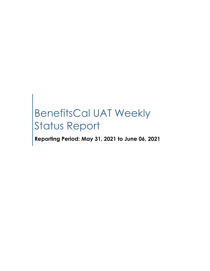# BenefitsCal UAT Weekly Status Report

**Reporting Period: May 31, 2021 to June 06, 2021**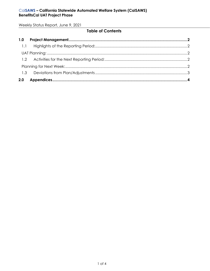Weekly Status Report, June 9, 2021

### **Table of Contents**

| 2.0 |  |
|-----|--|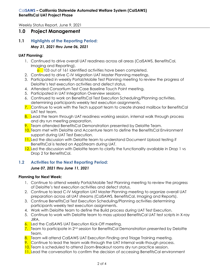Weekly Status Report, June 9, 2021

## <span id="page-2-0"></span>**1.0 Project Management**

#### <span id="page-2-1"></span>**1.1 Highlights of the Reporting Period:** *May 31, 2021 thru June 06, 2021*

#### <span id="page-2-2"></span>**UAT Planning:**

- 1. Continued to drive overall UAT readiness across all areas (CalSAWS, BenefitsCal, Imaging and Reporting).
	- <sup>o</sup> 103 out of 161 identified activities have been completed.
- 2. Continued to drive C-IV Migration UAT Master Planning meetings.
- 3. Participated in weekly Portal/Mobile Test Planning meeting to review the progress of Deloitte's test execution activities and defect status.
- 4. Attended Consortium Test Case Baseline Touch Point meeting.
- 5. Participated in UAT Integration Overview sessions.
- 6. Continued to work on BenefitsCal Test Execution Scheduling/Planning activities, determining participants weekly test execution assignments.
- 7. Continue to work with the Tech support team to create shared mailbox for BenefitsCal UAT test team.
- 8. Lead the team through UAT readiness working session, internal walk through process and dry run meeting preparation.
- 9. Team attended BenefitsCal Demonstration presented by Deloitte Team.
- 10. Team met with Deloitte and Accenture team to define the BenefitsCal Environment support during UAT Test Execution.
- 11. Led the discussion with Deloitte team to understand Document Upload testing if BenefitsCal is tested on AppStream during UAT.
- 12. Led the discussion with Deloitte team to clarify the functionality available in Drop 1 vs Drop 2 for BenefitsCal.

#### <span id="page-2-3"></span>**1.2 Activities for the Next Reporting Period:**

#### *June 07, 2021 thru June 11, 2021*

#### <span id="page-2-4"></span>**Planning for Next Week:**

- 1. Continue to attend weekly Portal/Mobile Test Planning meeting to review the progress of Deloitte's test execution activities and defect status.
- 2. Continue to lead C-IV Migration UAT Master Planning meeting to organize overall UAT preparation across all UAT streams (CalSAWS, BenefitsCal, Imaging and Reports).
- 3. Continue BenefitsCal Test Execution Scheduling/Planning activities determining participants weekly test execution assignments.
- 4. Work with Deloitte team to define the Build process during UAT Test Execution.
- 5. Continue to work with Deloitte team to mass upload BenefitsCal UAT test scripts in X-ray JIRA.
- 6. Led the CalSAWS UAT Execution Kick-Off meeting.
- 7. Team to participate in  $2^{nd}$  session for BenefitsCal Demonstration presented by Deloitte Team.
- 8. Team will attend CalSAWS UAT Execution Finding and Triage Training meeting.
- 9. Continue to lead the team walk-through the UAT Internal walk-though process.
- 10. Team is scheduled to attend Zoom-Breakout rooms dry run practice session.
- **11.** Lead the conversation to confirm the decision of accessing BenefitsCal environment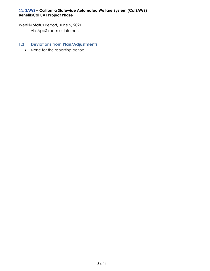#### Cal**SAWS – California Statewide Automated Welfare System (CalSAWS) BenefitsCal UAT Project Phase**

#### Weekly Status Report, June 9, 2021

via AppStream or internet.

#### <span id="page-3-0"></span>**1.3 Deviations from Plan/Adjustments**

• None for the reporting period